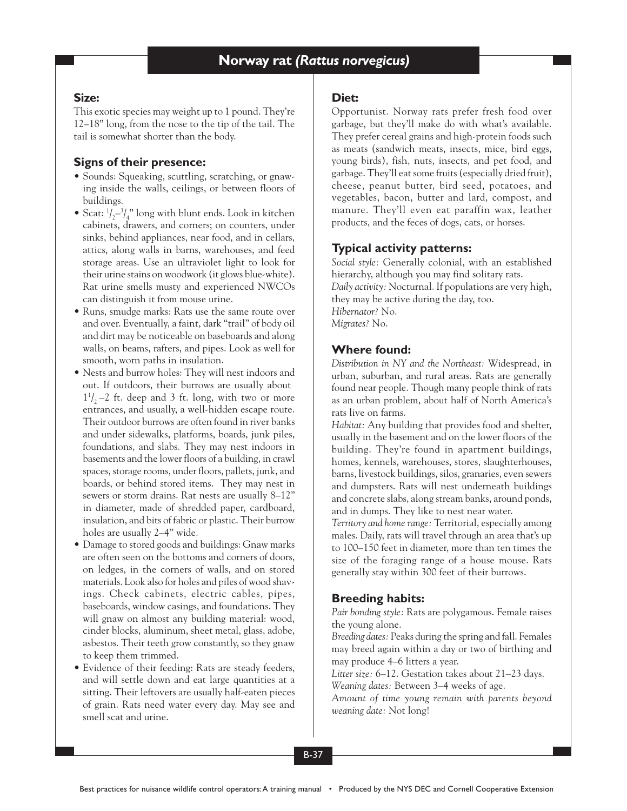### **Size:**

This exotic species may weight up to 1 pound. They're 12–18" long, from the nose to the tip of the tail. The tail is somewhat shorter than the body.

## **Signs of their presence:**

- Sounds: Squeaking, scuttling, scratching, or gnawing inside the walls, ceilings, or between floors of buildings.
- Scat:  $1/2 3/4$ " long with blunt ends. Look in kitchen cabinets, drawers, and corners; on counters, under sinks, behind appliances, near food, and in cellars, attics, along walls in barns, warehouses, and feed storage areas. Use an ultraviolet light to look for their urine stains on woodwork (it glows blue-white). Rat urine smells musty and experienced NWCOs can distinguish it from mouse urine.
- Runs, smudge marks: Rats use the same route over and over. Eventually, a faint, dark "trail" of body oil and dirt may be noticeable on baseboards and along walls, on beams, rafters, and pipes. Look as well for smooth, worn paths in insulation.
- Nests and burrow holes: They will nest indoors and out. If outdoors, their burrows are usually about  $1\frac{1}{2}$  –2 ft. deep and 3 ft. long, with two or more entrances, and usually, a well-hidden escape route. Their outdoor burrows are often found in river banks and under sidewalks, platforms, boards, junk piles, foundations, and slabs. They may nest indoors in basements and the lower floors of a building, in crawl spaces, storage rooms, under floors, pallets, junk, and boards, or behind stored items. They may nest in sewers or storm drains. Rat nests are usually 8–12" in diameter, made of shredded paper, cardboard, insulation, and bits of fabric or plastic. Their burrow holes are usually 2–4" wide.
- Damage to stored goods and buildings: Gnaw marks are often seen on the bottoms and corners of doors, on ledges, in the corners of walls, and on stored materials. Look also for holes and piles of wood shavings. Check cabinets, electric cables, pipes, baseboards, window casings, and foundations. They will gnaw on almost any building material: wood, cinder blocks, aluminum, sheet metal, glass, adobe, asbestos. Their teeth grow constantly, so they gnaw to keep them trimmed.
- Evidence of their feeding: Rats are steady feeders, and will settle down and eat large quantities at a sitting. Their leftovers are usually half-eaten pieces of grain. Rats need water every day. May see and smell scat and urine.

### **Diet:**

Opportunist. Norway rats prefer fresh food over garbage, but they'll make do with what's available. They prefer cereal grains and high-protein foods such as meats (sandwich meats, insects, mice, bird eggs, young birds), fish, nuts, insects, and pet food, and garbage. They'll eat some fruits (especially dried fruit), cheese, peanut butter, bird seed, potatoes, and vegetables, bacon, butter and lard, compost, and manure. They'll even eat paraffin wax, leather products, and the feces of dogs, cats, or horses.

## **Typical activity patterns:**

*Social style:* Generally colonial, with an established hierarchy, although you may find solitary rats. *Daily activity:* Nocturnal. If populations are very high, they may be active during the day, too. *Hibernator?* No. *Migrates?* No.

## **Where found:**

*Distribution in NY and the Northeast:* Widespread, in urban, suburban, and rural areas. Rats are generally found near people. Though many people think of rats as an urban problem, about half of North America's rats live on farms.

*Habitat:* Any building that provides food and shelter, usually in the basement and on the lower floors of the building. They're found in apartment buildings, homes, kennels, warehouses, stores, slaughterhouses, barns, livestock buildings, silos, granaries, even sewers and dumpsters. Rats will nest underneath buildings and concrete slabs, along stream banks, around ponds, and in dumps. They like to nest near water.

*Territory and home range:* Territorial, especially among males. Daily, rats will travel through an area that's up to 100–150 feet in diameter, more than ten times the size of the foraging range of a house mouse. Rats generally stay within 300 feet of their burrows.

# **Breeding habits:**

*Pair bonding style:* Rats are polygamous. Female raises the young alone.

*Breeding dates:* Peaks during the spring and fall. Females may breed again within a day or two of birthing and may produce 4–6 litters a year.

*Litter size:* 6–12. Gestation takes about 21–23 days. *Weaning dates:* Between 3–4 weeks of age.

*Amount of time young remain with parents beyond weaning date:* Not long!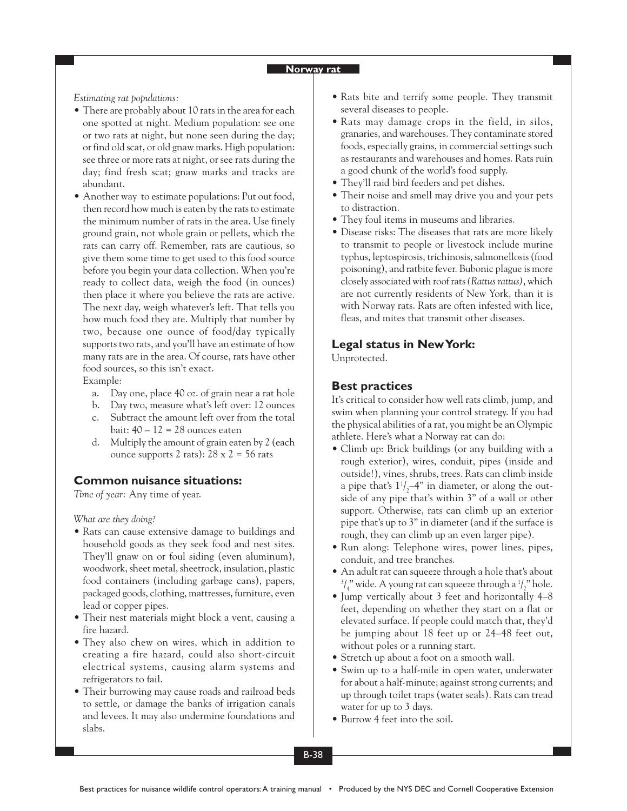*Estimating rat populations:*

- There are probably about 10 rats in the area for each one spotted at night. Medium population: see one or two rats at night, but none seen during the day; or find old scat, or old gnaw marks. High population: see three or more rats at night, or see rats during the day; find fresh scat; gnaw marks and tracks are abundant.
- Another way to estimate populations: Put out food, then record how much is eaten by the rats to estimate the minimum number of rats in the area. Use finely ground grain, not whole grain or pellets, which the rats can carry off. Remember, rats are cautious, so give them some time to get used to this food source before you begin your data collection. When you're ready to collect data, weigh the food (in ounces) then place it where you believe the rats are active. The next day, weigh whatever's left. That tells you how much food they ate. Multiply that number by two, because one ounce of food/day typically supports two rats, and you'll have an estimate of how many rats are in the area. Of course, rats have other food sources, so this isn't exact.

Example:

- a. Day one, place 40 oz. of grain near a rat hole
- b. Day two, measure what's left over: 12 ounces
- c. Subtract the amount left over from the total bait:  $40 - 12 = 28$  ounces eaten
- d. Multiply the amount of grain eaten by 2 (each ounce supports 2 rats):  $28 \times 2 = 56$  rats

## **Common nuisance situations:**

*Time of year:* Any time of year.

*What are they doing?*

- Rats can cause extensive damage to buildings and household goods as they seek food and nest sites. They'll gnaw on or foul siding (even aluminum), woodwork, sheet metal, sheetrock, insulation, plastic food containers (including garbage cans), papers, packaged goods, clothing, mattresses, furniture, even lead or copper pipes.
- Their nest materials might block a vent, causing a fire hazard.
- They also chew on wires, which in addition to creating a fire hazard, could also short-circuit electrical systems, causing alarm systems and refrigerators to fail.
- Their burrowing may cause roads and railroad beds to settle, or damage the banks of irrigation canals and levees. It may also undermine foundations and slabs.
- Rats bite and terrify some people. They transmit several diseases to people.
- Rats may damage crops in the field, in silos, granaries, and warehouses. They contaminate stored foods, especially grains, in commercial settings such as restaurants and warehouses and homes. Rats ruin a good chunk of the world's food supply.
- They'll raid bird feeders and pet dishes.
- Their noise and smell may drive you and your pets to distraction.
- They foul items in museums and libraries.
- Disease risks: The diseases that rats are more likely to transmit to people or livestock include murine typhus, leptospirosis, trichinosis, salmonellosis (food poisoning), and ratbite fever. Bubonic plague is more closely associated with roof rats *(Rattus rattus)*, which are not currently residents of New York, than it is with Norway rats. Rats are often infested with lice, fleas, and mites that transmit other diseases.

### **Legal status in New York:**

Unprotected.

## **Best practices**

It's critical to consider how well rats climb, jump, and swim when planning your control strategy. If you had the physical abilities of a rat, you might be an Olympic athlete. Here's what a Norway rat can do:

- Climb up: Brick buildings (or any building with a rough exterior), wires, conduit, pipes (inside and outside!), vines, shrubs, trees. Rats can climb inside a pipe that's  $1^{\prime}/_{2}$ –4" in diameter, or along the outside of any pipe that's within 3" of a wall or other support. Otherwise, rats can climb up an exterior pipe that's up to 3" in diameter (and if the surface is rough, they can climb up an even larger pipe).
- Run along: Telephone wires, power lines, pipes, conduit, and tree branches.
- An adult rat can squeeze through a hole that's about  $^{3}/_{4}$ " wide. A young rat can squeeze through a  $^{1}/_{2}$ " hole.
- Jump vertically about 3 feet and horizontally 4–8 feet, depending on whether they start on a flat or elevated surface. If people could match that, they'd be jumping about 18 feet up or 24–48 feet out, without poles or a running start.
- Stretch up about a foot on a smooth wall.
- Swim up to a half-mile in open water, underwater for about a half-minute; against strong currents; and up through toilet traps (water seals). Rats can tread water for up to 3 days.
- Burrow 4 feet into the soil.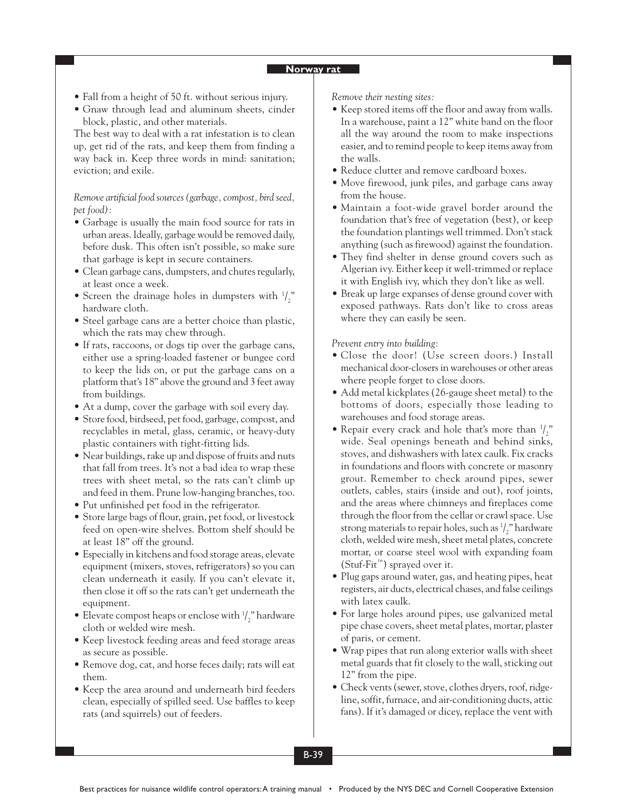- Fall from a height of 50 ft. without serious injury.
- Gnaw through lead and aluminum sheets, cinder block, plastic, and other materials.

The best way to deal with a rat infestation is to clean up, get rid of the rats, and keep them from finding a way back in. Keep three words in mind: sanitation; eviction; and exile.

*Remove artificial food sources (garbage, compost, bird seed, pet food):*

- Garbage is usually the main food source for rats in urban areas. Ideally, garbage would be removed daily, before dusk. This often isn't possible, so make sure that garbage is kept in secure containers.
- Clean garbage cans, dumpsters, and chutes regularly, at least once a week.
- Screen the drainage holes in dumpsters with  $\frac{1}{2}$ hardware cloth.
- Steel garbage cans are a better choice than plastic, which the rats may chew through.
- If rats, raccoons, or dogs tip over the garbage cans, either use a spring-loaded fastener or bungee cord to keep the lids on, or put the garbage cans on a platform that's 18" above the ground and 3 feet away from buildings.
- At a dump, cover the garbage with soil every day.
- Store food, birdseed, pet food, garbage, compost, and recyclables in metal, glass, ceramic, or heavy-duty plastic containers with tight-fitting lids.
- Near buildings, rake up and dispose of fruits and nuts that fall from trees. It's not a bad idea to wrap these trees with sheet metal, so the rats can't climb up and feed in them. Prune low-hanging branches, too.
- Put unfinished pet food in the refrigerator.
- Store large bags of flour, grain, pet food, or livestock feed on open-wire shelves. Bottom shelf should be at least 18" off the ground.
- Especially in kitchens and food storage areas, elevate equipment (mixers, stoves, refrigerators) so you can clean underneath it easily. If you can't elevate it, then close it off so the rats can't get underneath the equipment.
- Elevate compost heaps or enclose with  $\frac{1}{2}$ " hardware cloth or welded wire mesh.
- Keep livestock feeding areas and feed storage areas as secure as possible.
- Remove dog, cat, and horse feces daily; rats will eat them.
- Keep the area around and underneath bird feeders clean, especially of spilled seed. Use baffles to keep rats (and squirrels) out of feeders.

*Remove their nesting sites:*

- Keep stored items off the floor and away from walls. In a warehouse, paint a 12" white band on the floor all the way around the room to make inspections easier, and to remind people to keep items away from the walls.
- Reduce clutter and remove cardboard boxes.
- Move firewood, junk piles, and garbage cans away from the house.
- Maintain a foot-wide gravel border around the foundation that's free of vegetation (best), or keep the foundation plantings well trimmed. Don't stack anything (such as firewood) against the foundation.
- They find shelter in dense ground covers such as Algerian ivy. Either keep it well-trimmed or replace it with English ivy, which they don't like as well.
- Break up large expanses of dense ground cover with exposed pathways. Rats don't like to cross areas where they can easily be seen.

*Prevent entry into building:*

- Close the door! (Use screen doors.) Install mechanical door-closers in warehouses or other areas where people forget to close doors.
- Add metal kickplates (26-gauge sheet metal) to the bottoms of doors, especially those leading to warehouses and food storage areas.
- Repair every crack and hole that's more than  $\frac{1}{2}$ " wide. Seal openings beneath and behind sinks, stoves, and dishwashers with latex caulk. Fix cracks in foundations and floors with concrete or masonry grout. Remember to check around pipes, sewer outlets, cables, stairs (inside and out), roof joints, and the areas where chimneys and fireplaces come through the floor from the cellar or crawl space. Use strong materials to repair holes, such as  $\frac{1}{2}$ " hardware cloth, welded wire mesh, sheet metal plates, concrete mortar, or coarse steel wool with expanding foam (Stuf-Fit™) sprayed over it.
- Plug gaps around water, gas, and heating pipes, heat registers, air ducts, electrical chases, and false ceilings with latex caulk.
- For large holes around pipes, use galvanized metal pipe chase covers, sheet metal plates, mortar, plaster of paris, or cement.
- Wrap pipes that run along exterior walls with sheet metal guards that fit closely to the wall, sticking out 12" from the pipe.
- Check vents (sewer, stove, clothes dryers, roof, ridgeline, soffit, furnace, and air-conditioning ducts, attic fans). If it's damaged or dicey, replace the vent with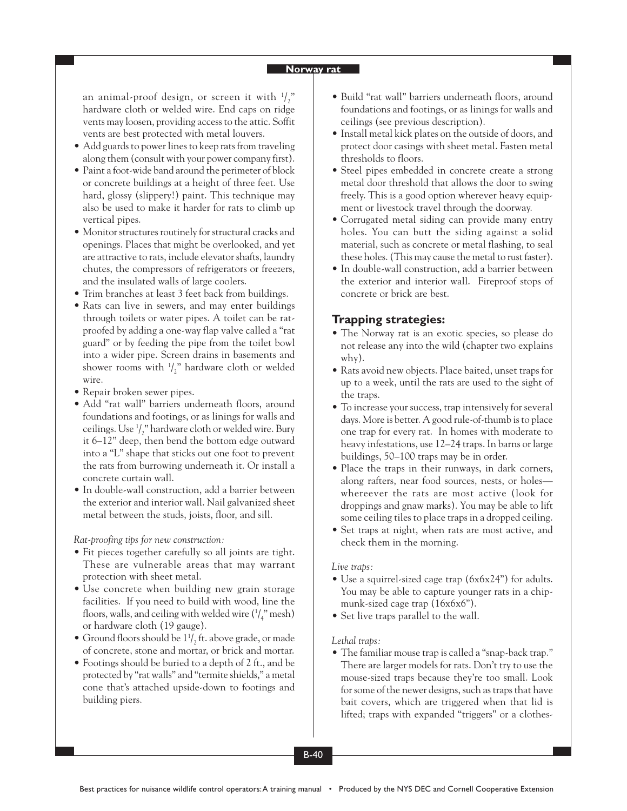an animal-proof design, or screen it with  $\frac{1}{2}$ hardware cloth or welded wire. End caps on ridge vents may loosen, providing access to the attic. Soffit vents are best protected with metal louvers.

- Add guards to power lines to keep rats from traveling along them (consult with your power company first).
- Paint a foot-wide band around the perimeter of block or concrete buildings at a height of three feet. Use hard, glossy (slippery!) paint. This technique may also be used to make it harder for rats to climb up vertical pipes.
- Monitor structures routinely for structural cracks and openings. Places that might be overlooked, and yet are attractive to rats, include elevator shafts, laundry chutes, the compressors of refrigerators or freezers, and the insulated walls of large coolers.
- Trim branches at least 3 feet back from buildings.
- Rats can live in sewers, and may enter buildings through toilets or water pipes. A toilet can be ratproofed by adding a one-way flap valve called a "rat guard" or by feeding the pipe from the toilet bowl into a wider pipe. Screen drains in basements and shower rooms with  $\frac{1}{2}$ " hardware cloth or welded wire.
- Repair broken sewer pipes.
- Add "rat wall" barriers underneath floors, around foundations and footings, or as linings for walls and ceilings. Use 1 / 2 " hardware cloth or welded wire. Bury it 6–12" deep, then bend the bottom edge outward into a "L" shape that sticks out one foot to prevent the rats from burrowing underneath it. Or install a concrete curtain wall.
- In double-wall construction, add a barrier between the exterior and interior wall. Nail galvanized sheet metal between the studs, joists, floor, and sill.

*Rat-proofing tips for new construction:*

- Fit pieces together carefully so all joints are tight. These are vulnerable areas that may warrant protection with sheet metal.
- Use concrete when building new grain storage facilities. If you need to build with wood, line the floors, walls, and ceiling with welded wire  $\binom{1}{4}$ " mesh) or hardware cloth (19 gauge).
- Ground floors should be  $1^1/2$  ft. above grade, or made of concrete, stone and mortar, or brick and mortar.
- Footings should be buried to a depth of 2 ft., and be protected by "rat walls" and "termite shields," a metal cone that's attached upside-down to footings and building piers.
- Build "rat wall" barriers underneath floors, around foundations and footings, or as linings for walls and ceilings (see previous description).
- Install metal kick plates on the outside of doors, and protect door casings with sheet metal. Fasten metal thresholds to floors.
- Steel pipes embedded in concrete create a strong metal door threshold that allows the door to swing freely. This is a good option wherever heavy equipment or livestock travel through the doorway.
- Corrugated metal siding can provide many entry holes. You can butt the siding against a solid material, such as concrete or metal flashing, to seal these holes. (This may cause the metal to rust faster).
- In double-wall construction, add a barrier between the exterior and interior wall. Fireproof stops of concrete or brick are best.

### **Trapping strategies:**

- The Norway rat is an exotic species, so please do not release any into the wild (chapter two explains why).
- Rats avoid new objects. Place baited, unset traps for up to a week, until the rats are used to the sight of the traps.
- To increase your success, trap intensively for several days. More is better. A good rule-of-thumb is to place one trap for every rat. In homes with moderate to heavy infestations, use 12–24 traps. In barns or large buildings, 50–100 traps may be in order.
- Place the traps in their runways, in dark corners, along rafters, near food sources, nests, or holes whereever the rats are most active (look for droppings and gnaw marks). You may be able to lift some ceiling tiles to place traps in a dropped ceiling.
- Set traps at night, when rats are most active, and check them in the morning.

#### *Live traps:*

- Use a squirrel-sized cage trap (6x6x24") for adults. You may be able to capture younger rats in a chipmunk-sized cage trap (16x6x6").
- Set live traps parallel to the wall.

#### *Lethal traps:*

• The familiar mouse trap is called a "snap-back trap." There are larger models for rats. Don't try to use the mouse-sized traps because they're too small. Look for some of the newer designs, such as traps that have bait covers, which are triggered when that lid is lifted; traps with expanded "triggers" or a clothes-